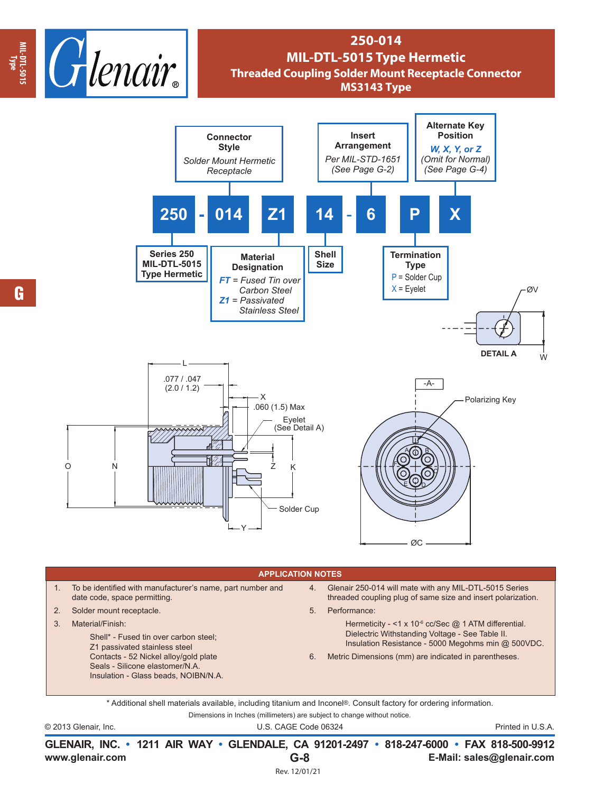

## **250-014 MIL-DTL-5015 Type Hermetic Threaded Coupling Solder Mount Receptacle Connector MS3143 Type**



## **APPLICATION NOTES**

- 1. To be identified with manufacturer's name, part number and date code, space permitting.
- 2. Solder mount receptacle.
- 3. Material/Finish:

 $\Omega$ 

Shell\* - Fused tin over carbon steel; Z1 passivated stainless steel Contacts - 52 Nickel alloy/gold plate Seals - Silicone elastomer/N.A. Insulation - Glass beads, NOIBN/N.A.

- 4. Glenair 250-014 will mate with any MIL-DTL-5015 Series threaded coupling plug of same size and insert polarization.
- 5. Performance:
	- Hermeticity <1 x 10<sup>-6</sup> cc/Sec @ 1 ATM differential. Dielectric Withstanding Voltage - See Table II. Insulation Resistance - 5000 Megohms min @ 500VDC.
- 6. Metric Dimensions (mm) are indicated in parentheses.

Dimensions in Inches (millimeters) are subject to change without notice. \* Additional shell materials available, including titanium and Inconel®. Consult factory for ordering information.

© 2013 Glenair, Inc. U.S. CAGE Code 06324 Printed in U.S.A.

**www.glenair.com E-Mail: sales@glenair.com GLENAIR, INC. • 1211 AIR WAY • GLENDALE, CA 91201-2497 • 818-247-6000 • FAX 818-500-9912 G-8** Rev. 12/01/21